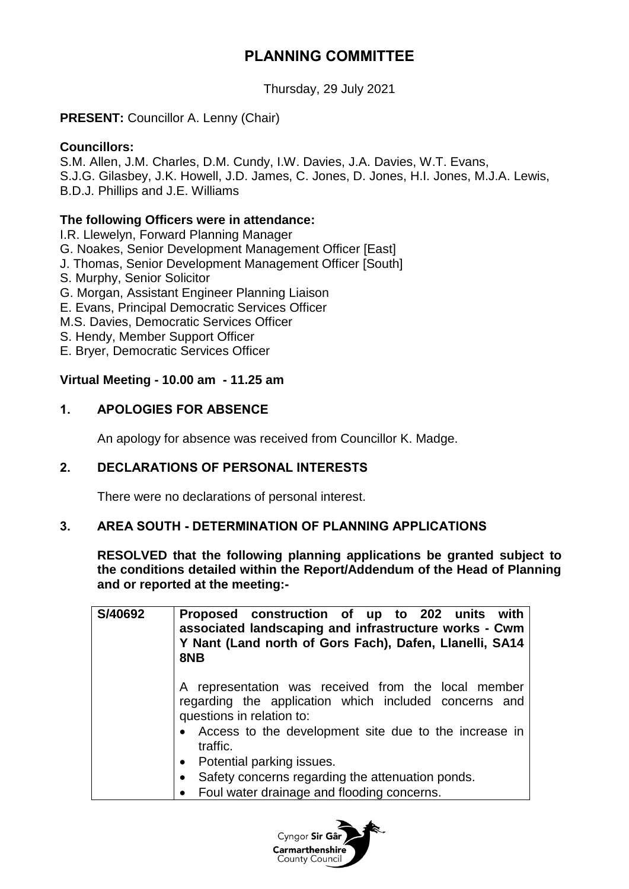# **PLANNING COMMITTEE**

Thursday, 29 July 2021

## **PRESENT:** Councillor A. Lenny (Chair)

## **Councillors:**

S.M. Allen, J.M. Charles, D.M. Cundy, I.W. Davies, J.A. Davies, W.T. Evans, S.J.G. Gilasbey, J.K. Howell, J.D. James, C. Jones, D. Jones, H.I. Jones, M.J.A. Lewis, B.D.J. Phillips and J.E. Williams

#### **The following Officers were in attendance:**

I.R. Llewelyn, Forward Planning Manager

G. Noakes, Senior Development Management Officer [East]

- J. Thomas, Senior Development Management Officer [South]
- S. Murphy, Senior Solicitor
- G. Morgan, Assistant Engineer Planning Liaison
- E. Evans, Principal Democratic Services Officer
- M.S. Davies, Democratic Services Officer
- S. Hendy, Member Support Officer
- E. Bryer, Democratic Services Officer

#### **Virtual Meeting - 10.00 am - 11.25 am**

## **1. APOLOGIES FOR ABSENCE**

An apology for absence was received from Councillor K. Madge.

## **2. DECLARATIONS OF PERSONAL INTERESTS**

There were no declarations of personal interest.

## **3. AREA SOUTH - DETERMINATION OF PLANNING APPLICATIONS**

**RESOLVED that the following planning applications be granted subject to the conditions detailed within the Report/Addendum of the Head of Planning and or reported at the meeting:-**

| S/40692 | Proposed construction of up to 202 units with<br>associated landscaping and infrastructure works - Cwm<br>Y Nant (Land north of Gors Fach), Dafen, Llanelli, SA14<br>8NB                                         |
|---------|------------------------------------------------------------------------------------------------------------------------------------------------------------------------------------------------------------------|
|         | A representation was received from the local member<br>regarding the application which included concerns and<br>questions in relation to:<br>• Access to the development site due to the increase in<br>traffic. |
|         | Potential parking issues.<br>$\bullet$                                                                                                                                                                           |
|         | Safety concerns regarding the attenuation ponds.<br>$\bullet$                                                                                                                                                    |
|         | • Foul water drainage and flooding concerns.                                                                                                                                                                     |